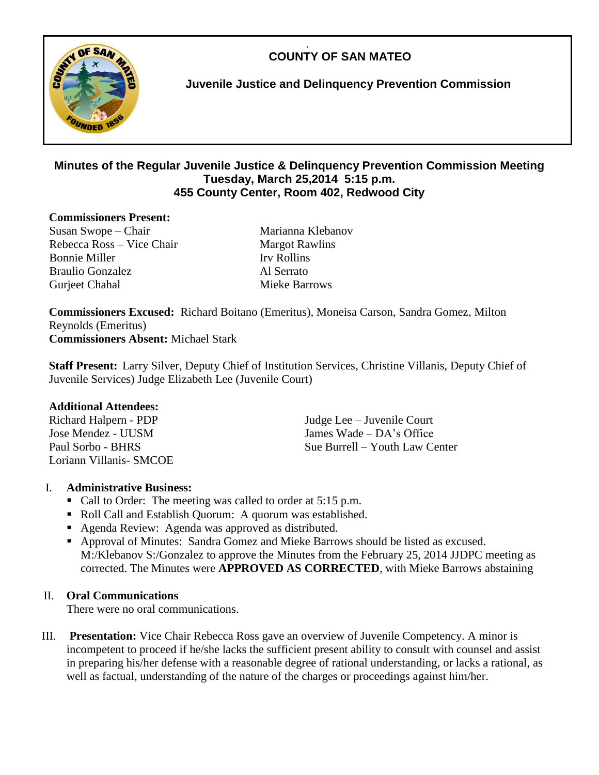.  **COUNTY OF SAN MATEO**



**Juvenile Justice and Delinquency Prevention Commission**

## **Minutes of the Regular Juvenile Justice & Delinquency Prevention Commission Meeting Tuesday, March 25,2014 5:15 p.m. 455 County Center, Room 402, Redwood City**

#### **Commissioners Present:**

Susan Swope – Chair Marianna Klebanov Rebecca Ross – Vice Chair Margot Rawlins Bonnie Miller Irv Rollins Braulio Gonzalez Al Serrato Gurjeet Chahal Mieke Barrows

**Commissioners Excused:** Richard Boitano (Emeritus), Moneisa Carson, Sandra Gomez, Milton Reynolds (Emeritus) **Commissioners Absent:** Michael Stark

**Staff Present:** Larry Silver, Deputy Chief of Institution Services, Christine Villanis, Deputy Chief of Juvenile Services) Judge Elizabeth Lee (Juvenile Court)

## **Additional Attendees:**

Loriann Villanis- SMCOE

Richard Halpern - PDP Judge Lee – Juvenile Court Jose Mendez - UUSM James Wade – DA's Office Paul Sorbo - BHRS Sue Burrell – Youth Law Center

## I. **Administrative Business:**

- Call to Order: The meeting was called to order at 5:15 p.m.
- Roll Call and Establish Quorum: A quorum was established.
- Agenda Review: Agenda was approved as distributed.
- Approval of Minutes: Sandra Gomez and Mieke Barrows should be listed as excused. M:/Klebanov S:/Gonzalez to approve the Minutes from the February 25, 2014 JJDPC meeting as corrected. The Minutes were **APPROVED AS CORRECTED**, with Mieke Barrows abstaining

## II. **Oral Communications**

There were no oral communications.

III. **Presentation:** Vice Chair Rebecca Ross gave an overview of Juvenile Competency. A minor is incompetent to proceed if he/she lacks the sufficient present ability to consult with counsel and assist in preparing his/her defense with a reasonable degree of rational understanding, or lacks a rational, as well as factual, understanding of the nature of the charges or proceedings against him/her.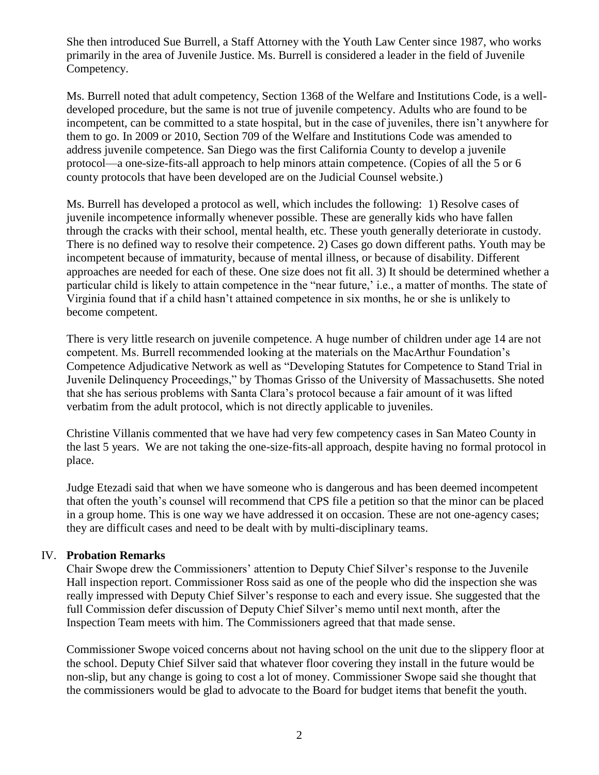She then introduced Sue Burrell, a Staff Attorney with the Youth Law Center since 1987, who works primarily in the area of Juvenile Justice. Ms. Burrell is considered a leader in the field of Juvenile Competency.

Ms. Burrell noted that adult competency, Section 1368 of the Welfare and Institutions Code, is a welldeveloped procedure, but the same is not true of juvenile competency. Adults who are found to be incompetent, can be committed to a state hospital, but in the case of juveniles, there isn't anywhere for them to go. In 2009 or 2010, Section 709 of the Welfare and Institutions Code was amended to address juvenile competence. San Diego was the first California County to develop a juvenile protocol—a one-size-fits-all approach to help minors attain competence. (Copies of all the 5 or 6 county protocols that have been developed are on the Judicial Counsel website.)

Ms. Burrell has developed a protocol as well, which includes the following: 1) Resolve cases of juvenile incompetence informally whenever possible. These are generally kids who have fallen through the cracks with their school, mental health, etc. These youth generally deteriorate in custody. There is no defined way to resolve their competence. 2) Cases go down different paths. Youth may be incompetent because of immaturity, because of mental illness, or because of disability. Different approaches are needed for each of these. One size does not fit all. 3) It should be determined whether a particular child is likely to attain competence in the "near future,' i.e., a matter of months. The state of Virginia found that if a child hasn't attained competence in six months, he or she is unlikely to become competent.

There is very little research on juvenile competence. A huge number of children under age 14 are not competent. Ms. Burrell recommended looking at the materials on the MacArthur Foundation's Competence Adjudicative Network as well as "Developing Statutes for Competence to Stand Trial in Juvenile Delinquency Proceedings," by Thomas Grisso of the University of Massachusetts. She noted that she has serious problems with Santa Clara's protocol because a fair amount of it was lifted verbatim from the adult protocol, which is not directly applicable to juveniles.

Christine Villanis commented that we have had very few competency cases in San Mateo County in the last 5 years. We are not taking the one-size-fits-all approach, despite having no formal protocol in place.

Judge Etezadi said that when we have someone who is dangerous and has been deemed incompetent that often the youth's counsel will recommend that CPS file a petition so that the minor can be placed in a group home. This is one way we have addressed it on occasion. These are not one-agency cases; they are difficult cases and need to be dealt with by multi-disciplinary teams.

## IV. **Probation Remarks**

Chair Swope drew the Commissioners' attention to Deputy Chief Silver's response to the Juvenile Hall inspection report. Commissioner Ross said as one of the people who did the inspection she was really impressed with Deputy Chief Silver's response to each and every issue. She suggested that the full Commission defer discussion of Deputy Chief Silver's memo until next month, after the Inspection Team meets with him. The Commissioners agreed that that made sense.

Commissioner Swope voiced concerns about not having school on the unit due to the slippery floor at the school. Deputy Chief Silver said that whatever floor covering they install in the future would be non-slip, but any change is going to cost a lot of money. Commissioner Swope said she thought that the commissioners would be glad to advocate to the Board for budget items that benefit the youth.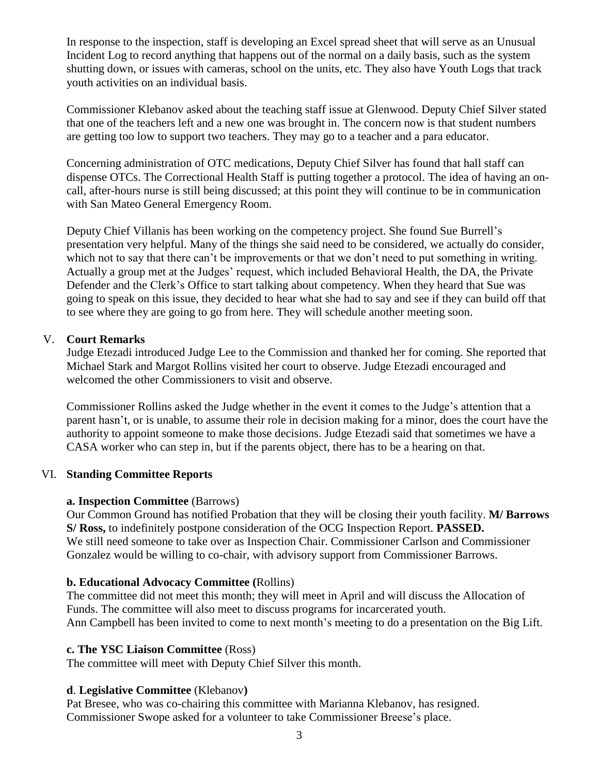In response to the inspection, staff is developing an Excel spread sheet that will serve as an Unusual Incident Log to record anything that happens out of the normal on a daily basis, such as the system shutting down, or issues with cameras, school on the units, etc. They also have Youth Logs that track youth activities on an individual basis.

Commissioner Klebanov asked about the teaching staff issue at Glenwood. Deputy Chief Silver stated that one of the teachers left and a new one was brought in. The concern now is that student numbers are getting too low to support two teachers. They may go to a teacher and a para educator.

Concerning administration of OTC medications, Deputy Chief Silver has found that hall staff can dispense OTCs. The Correctional Health Staff is putting together a protocol. The idea of having an oncall, after-hours nurse is still being discussed; at this point they will continue to be in communication with San Mateo General Emergency Room.

Deputy Chief Villanis has been working on the competency project. She found Sue Burrell's presentation very helpful. Many of the things she said need to be considered, we actually do consider, which not to say that there can't be improvements or that we don't need to put something in writing. Actually a group met at the Judges' request, which included Behavioral Health, the DA, the Private Defender and the Clerk's Office to start talking about competency. When they heard that Sue was going to speak on this issue, they decided to hear what she had to say and see if they can build off that to see where they are going to go from here. They will schedule another meeting soon.

## V. **Court Remarks**

Judge Etezadi introduced Judge Lee to the Commission and thanked her for coming. She reported that Michael Stark and Margot Rollins visited her court to observe. Judge Etezadi encouraged and welcomed the other Commissioners to visit and observe.

Commissioner Rollins asked the Judge whether in the event it comes to the Judge's attention that a parent hasn't, or is unable, to assume their role in decision making for a minor, does the court have the authority to appoint someone to make those decisions. Judge Etezadi said that sometimes we have a CASA worker who can step in, but if the parents object, there has to be a hearing on that.

#### VI. **Standing Committee Reports**

#### **a. Inspection Committee** (Barrows)

Our Common Ground has notified Probation that they will be closing their youth facility. **M/ Barrows S/ Ross,** to indefinitely postpone consideration of the OCG Inspection Report. **PASSED.**  We still need someone to take over as Inspection Chair. Commissioner Carlson and Commissioner Gonzalez would be willing to co-chair, with advisory support from Commissioner Barrows.

## **b. Educational Advocacy Committee (**Rollins)

The committee did not meet this month; they will meet in April and will discuss the Allocation of Funds. The committee will also meet to discuss programs for incarcerated youth. Ann Campbell has been invited to come to next month's meeting to do a presentation on the Big Lift.

#### **c. The YSC Liaison Committee** (Ross)

The committee will meet with Deputy Chief Silver this month.

## **d**. **Legislative Committee** (Klebanov**)**

Pat Bresee, who was co-chairing this committee with Marianna Klebanov, has resigned. Commissioner Swope asked for a volunteer to take Commissioner Breese's place.